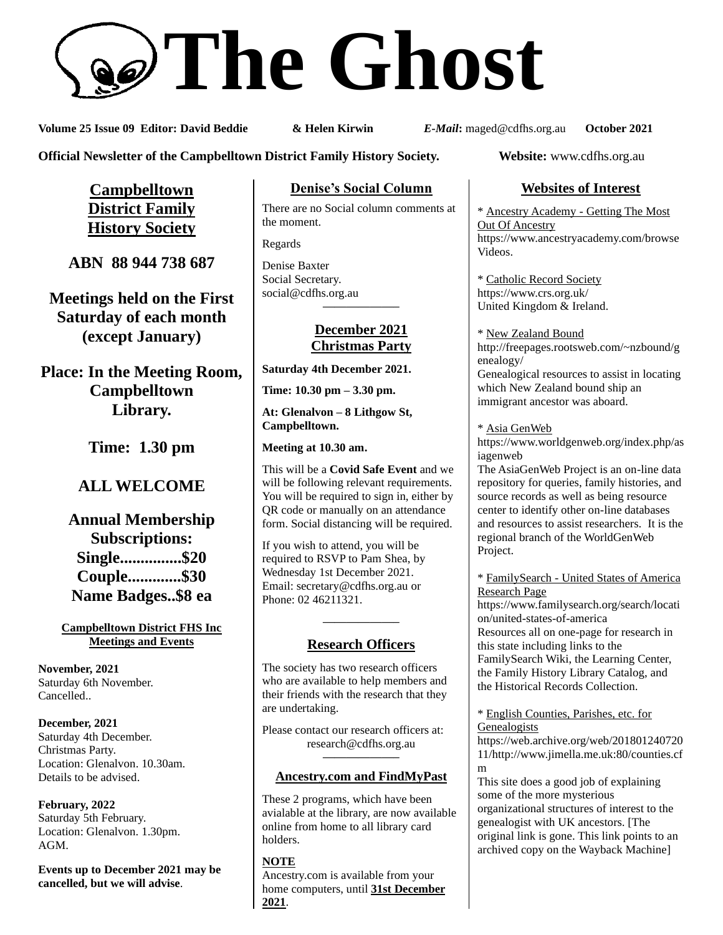# **The Ghost**

**Volume 25 Issue 09 Editor: David Beddie & Helen Kirwin** *E-Mail***:** maged@cdfhs.org.au **October 2021**

**Official Newsletter of the Campbelltown District Family History Society. Website:** www.cdfhs.org.au

**Campbelltown District Family History Society**

**ABN 88 944 738 687**

**Meetings held on the First Saturday of each month (except January)**

**Place: In the Meeting Room, Campbelltown Library.**

**Time: 1.30 pm**

# **ALL WELCOME**

**Annual Membership Subscriptions: Single...............\$20 Couple.............\$30 Name Badges..\$8 ea**

### **Campbelltown District FHS Inc Meetings and Events**

**November, 2021** Saturday 6th November. Cancelled..

**December, 2021** Saturday 4th December. Christmas Party. Location: Glenalvon. 10.30am. Details to be advised.

**February, 2022** Saturday 5th February. Location: Glenalvon. 1.30pm. AGM.

**Events up to December 2021 may be cancelled, but we will advise**.

# **Denise's Social Column**

There are no Social column comments at the moment.

Regards

Denise Baxter Social Secretary. [social@cdfhs.org.au](mailto:social@cdfhs.org.au) **——————–**

# **December 2021 Christmas Party**

**Saturday 4th December 2021.**

**Time: 10.30 pm – 3.30 pm.**

**At: Glenalvon – 8 Lithgow St, Campbelltown.**

**Meeting at 10.30 am.**

This will be a **Covid Safe Event** and we will be following relevant requirements. You will be required to sign in, either by QR code or manually on an attendance form. Social distancing will be required.

If you wish to attend, you will be required to RSVP to Pam Shea, by Wednesday 1st December 2021. Email: [secretary@cdfhs.org.au](mailto:secretary@cdfhs.org.au) or Phone: 02 46211321.

# **——————– Research Officers**

The society has two research officers who are available to help members and their friends with the research that they are undertaking.

Please contact our research officers at: research@cdfhs.org.au

# **——————– Ancestry.com and FindMyPast**

These 2 programs, which have been avialable at the library, are now available online from home to all library card holders.

**NOTE** Ancestry.com is available from your home computers, until **31st December 2021**.

# **Websites of Interest**

\* Ancestry Academy - Getting The Most Out Of Ancestry https://www.ancestryacademy.com/browse Videos.

\* Catholic Record Society https://www.crs.org.uk/ United Kingdom & Ireland.

\* New Zealand Bound http://freepages.rootsweb.com/~nzbound/g enealogy/ Genealogical resources to assist in locating which New Zealand bound ship an immigrant ancestor was aboard.

\* Asia GenWeb https://www.worldgenweb.org/index.php/as iagenweb

The AsiaGenWeb Project is an on-line data repository for queries, family histories, and source records as well as being resource center to identify other on-line databases and resources to assist researchers. It is the regional branch of the WorldGenWeb Project.

### \* FamilySearch - United States of America Research Page

https://www.familysearch.org/search/locati on/united-states-of-america Resources all on one-page for research in this state including links to the FamilySearch Wiki, the Learning Center, the Family History Library Catalog, and the Historical Records Collection.

### \* English Counties, Parishes, etc. for **Genealogists**

https://web.archive.org/web/201801240720 11/http://www.jimella.me.uk:80/counties.cf m

This site does a good job of explaining some of the more mysterious organizational structures of interest to the genealogist with UK ancestors. [The original link is gone. This link points to an archived copy on the Wayback Machine]